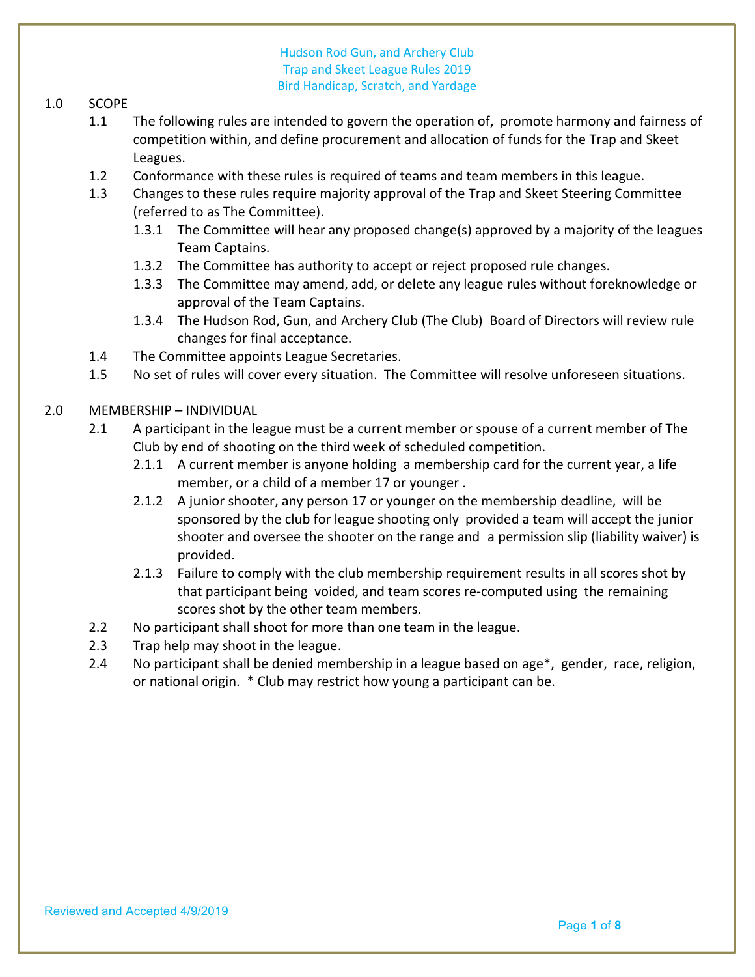### 1.0 SCOPE

- 1.1 The following rules are intended to govern the operation of, promote harmony and fairness of competition within, and define procurement and allocation of funds for the Trap and Skeet Leagues.
- 1.2 Conformance with these rules is required of teams and team members in this league.
- 1.3 Changes to these rules require majority approval of the Trap and Skeet Steering Committee (referred to as The Committee).
	- 1.3.1 The Committee will hear any proposed change(s) approved by a majority of the leagues Team Captains.
	- 1.3.2 The Committee has authority to accept or reject proposed rule changes.
	- 1.3.3 The Committee may amend, add, or delete any league rules without foreknowledge or approval of the Team Captains.
	- 1.3.4 The Hudson Rod, Gun, and Archery Club (The Club) Board of Directors will review rule changes for final acceptance.
- 1.4 The Committee appoints League Secretaries.
- 1.5 No set of rules will cover every situation. The Committee will resolve unforeseen situations.

### 2.0 MEMBERSHIP – INDIVIDUAL

- 2.1 A participant in the league must be a current member or spouse of a current member of The Club by end of shooting on the third week of scheduled competition.
	- 2.1.1 A current member is anyone holding a membership card for the current year, a life member, or a child of a member 17 or younger .
	- 2.1.2 A junior shooter, any person 17 or younger on the membership deadline, will be sponsored by the club for league shooting only provided a team will accept the junior shooter and oversee the shooter on the range and a permission slip (liability waiver) is provided.
	- 2.1.3 Failure to comply with the club membership requirement results in all scores shot by that participant being voided, and team scores re-computed using the remaining scores shot by the other team members.
- 2.2 No participant shall shoot for more than one team in the league.
- 2.3 Trap help may shoot in the league.
- 2.4 No participant shall be denied membership in a league based on age\*, gender, race, religion, or national origin. \* Club may restrict how young a participant can be.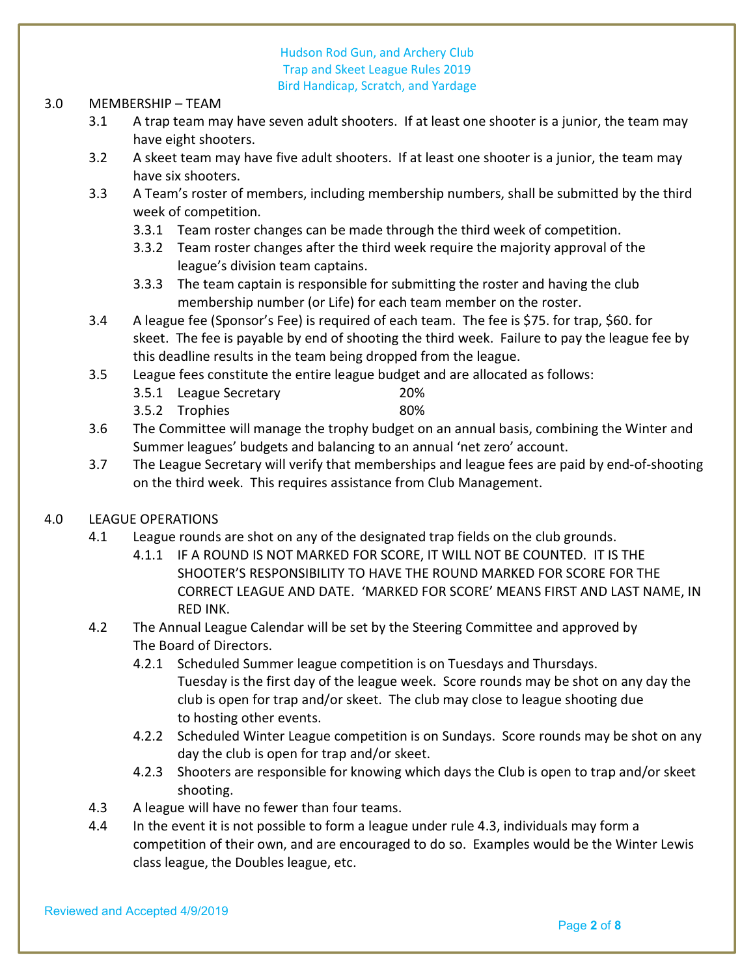#### 3.0 MEMBERSHIP – TEAM

- 3.1 A trap team may have seven adult shooters. If at least one shooter is a junior, the team may have eight shooters.
- 3.2 A skeet team may have five adult shooters. If at least one shooter is a junior, the team may have six shooters.
- 3.3 A Team's roster of members, including membership numbers, shall be submitted by the third week of competition.
	- 3.3.1 Team roster changes can be made through the third week of competition.
	- 3.3.2 Team roster changes after the third week require the majority approval of the league's division team captains.
	- 3.3.3 The team captain is responsible for submitting the roster and having the club membership number (or Life) for each team member on the roster.
- 3.4 A league fee (Sponsor's Fee) is required of each team. The fee is \$75. for trap, \$60. for skeet. The fee is payable by end of shooting the third week. Failure to pay the league fee by this deadline results in the team being dropped from the league.
- 3.5 League fees constitute the entire league budget and are allocated as follows:
	- 3.5.1 League Secretary 20%
	- 3.5.2 Trophies 80%
- 3.6 The Committee will manage the trophy budget on an annual basis, combining the Winter and Summer leagues' budgets and balancing to an annual 'net zero' account.
- 3.7 The League Secretary will verify that memberships and league fees are paid by end-of-shooting on the third week. This requires assistance from Club Management.

# 4.0 LEAGUE OPERATIONS

- 4.1 League rounds are shot on any of the designated trap fields on the club grounds.
	- 4.1.1 IF A ROUND IS NOT MARKED FOR SCORE, IT WILL NOT BE COUNTED. IT IS THE SHOOTER'S RESPONSIBILITY TO HAVE THE ROUND MARKED FOR SCORE FOR THE CORRECT LEAGUE AND DATE. 'MARKED FOR SCORE' MEANS FIRST AND LAST NAME, IN RED INK.
- 4.2 The Annual League Calendar will be set by the Steering Committee and approved by The Board of Directors.
	- 4.2.1 Scheduled Summer league competition is on Tuesdays and Thursdays. Tuesday is the first day of the league week. Score rounds may be shot on any day the club is open for trap and/or skeet. The club may close to league shooting due to hosting other events.
	- 4.2.2 Scheduled Winter League competition is on Sundays. Score rounds may be shot on any day the club is open for trap and/or skeet.
	- 4.2.3 Shooters are responsible for knowing which days the Club is open to trap and/or skeet shooting.
- 4.3 A league will have no fewer than four teams.
- 4.4 In the event it is not possible to form a league under rule 4.3, individuals may form a competition of their own, and are encouraged to do so. Examples would be the Winter Lewis class league, the Doubles league, etc.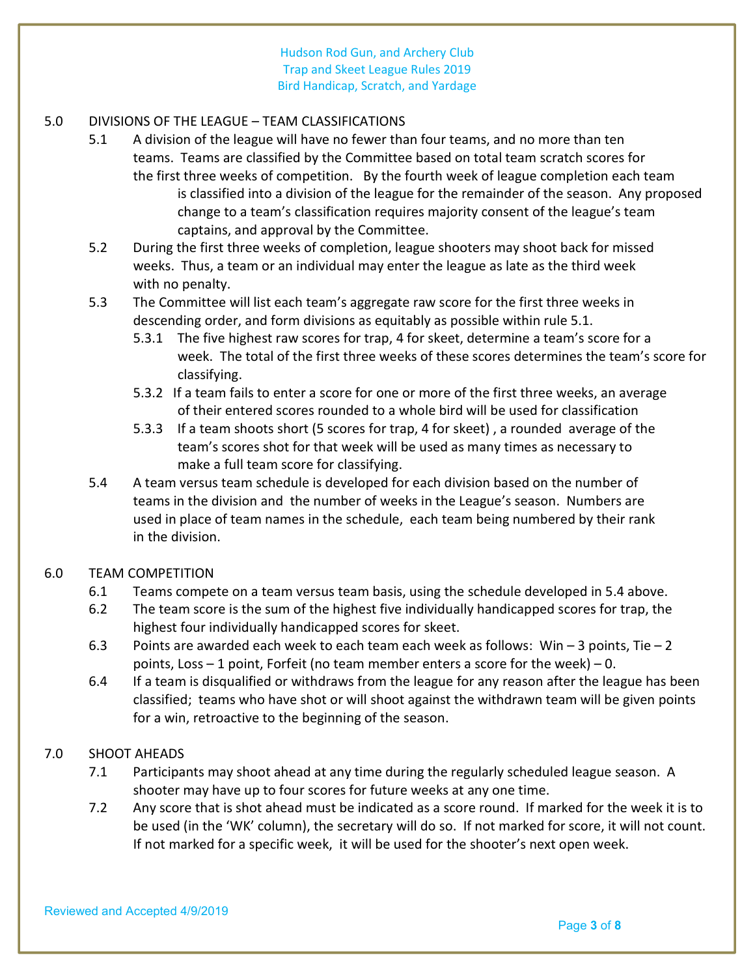# 5.0 DIVISIONS OF THE LEAGUE – TEAM CLASSIFICATIONS

- 5.1 A division of the league will have no fewer than four teams, and no more than ten teams. Teams are classified by the Committee based on total team scratch scores for the first three weeks of competition. By the fourth week of league completion each team is classified into a division of the league for the remainder of the season. Any proposed change to a team's classification requires majority consent of the league's team captains, and approval by the Committee.
- 5.2 During the first three weeks of completion, league shooters may shoot back for missed weeks. Thus, a team or an individual may enter the league as late as the third week with no penalty.
- 5.3 The Committee will list each team's aggregate raw score for the first three weeks in descending order, and form divisions as equitably as possible within rule 5.1.
	- 5.3.1 The five highest raw scores for trap, 4 for skeet, determine a team's score for a week. The total of the first three weeks of these scores determines the team's score for classifying.
	- 5.3.2 If a team fails to enter a score for one or more of the first three weeks, an average of their entered scores rounded to a whole bird will be used for classification
	- 5.3.3 If a team shoots short (5 scores for trap, 4 for skeet) , a rounded average of the team's scores shot for that week will be used as many times as necessary to make a full team score for classifying.
- 5.4 A team versus team schedule is developed for each division based on the number of teams in the division and the number of weeks in the League's season. Numbers are used in place of team names in the schedule, each team being numbered by their rank in the division.

#### 6.0 TEAM COMPETITION

- 6.1 Teams compete on a team versus team basis, using the schedule developed in 5.4 above.
- 6.2 The team score is the sum of the highest five individually handicapped scores for trap, the highest four individually handicapped scores for skeet.
- 6.3 Points are awarded each week to each team each week as follows: Win  $-3$  points, Tie  $-2$ points, Loss  $-1$  point, Forfeit (no team member enters a score for the week)  $-0$ .
- 6.4 If a team is disqualified or withdraws from the league for any reason after the league has been classified; teams who have shot or will shoot against the withdrawn team will be given points for a win, retroactive to the beginning of the season.

# 7.0 SHOOT AHEADS

- 7.1 Participants may shoot ahead at any time during the regularly scheduled league season. A shooter may have up to four scores for future weeks at any one time.
- 7.2 Any score that is shot ahead must be indicated as a score round. If marked for the week it is to be used (in the 'WK' column), the secretary will do so. If not marked for score, it will not count. If not marked for a specific week, it will be used for the shooter's next open week.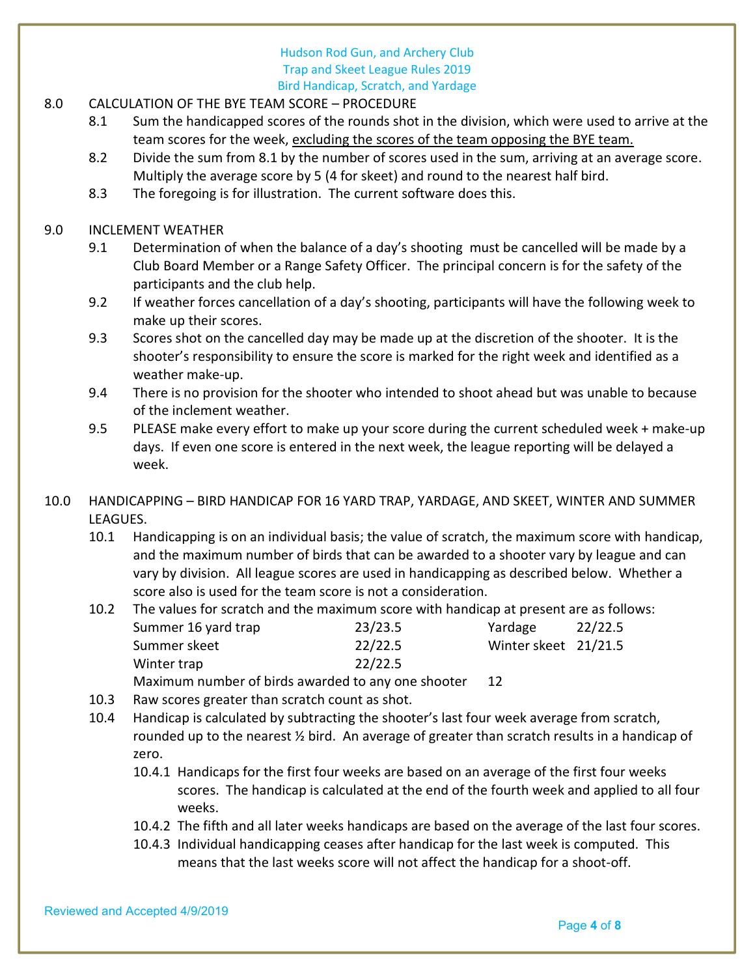- 8.0 CALCULATION OF THE BYE TEAM SCORE PROCEDURE
	- 8.1 Sum the handicapped scores of the rounds shot in the division, which were used to arrive at the team scores for the week, excluding the scores of the team opposing the BYE team.
	- 8.2 Divide the sum from 8.1 by the number of scores used in the sum, arriving at an average score. Multiply the average score by 5 (4 for skeet) and round to the nearest half bird.
	- 8.3 The foregoing is for illustration. The current software does this.
- 9.0 INCLEMENT WEATHER
	- 9.1 Determination of when the balance of a day's shooting must be cancelled will be made by a Club Board Member or a Range Safety Officer. The principal concern is for the safety of the participants and the club help.
	- 9.2 If weather forces cancellation of a day's shooting, participants will have the following week to make up their scores.
	- 9.3 Scores shot on the cancelled day may be made up at the discretion of the shooter. It is the shooter's responsibility to ensure the score is marked for the right week and identified as a weather make-up.
	- 9.4 There is no provision for the shooter who intended to shoot ahead but was unable to because of the inclement weather.
	- 9.5 PLEASE make every effort to make up your score during the current scheduled week + make-up days. If even one score is entered in the next week, the league reporting will be delayed a week.
- 10.0 HANDICAPPING BIRD HANDICAP FOR 16 YARD TRAP, YARDAGE, AND SKEET, WINTER AND SUMMER LEAGUES.
	- 10.1 Handicapping is on an individual basis; the value of scratch, the maximum score with handicap, and the maximum number of birds that can be awarded to a shooter vary by league and can vary by division. All league scores are used in handicapping as described below. Whether a score also is used for the team score is not a consideration.

 10.2 The values for scratch and the maximum score with handicap at present are as follows: Summer 16 yard trap 23/23.5 Yardage 22/22.5 Summer skeet 22/22.5 Winter skeet 21/21.5 Winter trap 22/22.5

- Maximum number of birds awarded to any one shooter 12
- 10.3 Raw scores greater than scratch count as shot.
- 10.4 Handicap is calculated by subtracting the shooter's last four week average from scratch, rounded up to the nearest ½ bird. An average of greater than scratch results in a handicap of zero.
	- 10.4.1 Handicaps for the first four weeks are based on an average of the first four weeks scores. The handicap is calculated at the end of the fourth week and applied to all four weeks.
	- 10.4.2 The fifth and all later weeks handicaps are based on the average of the last four scores.
	- 10.4.3 Individual handicapping ceases after handicap for the last week is computed. This means that the last weeks score will not affect the handicap for a shoot-off.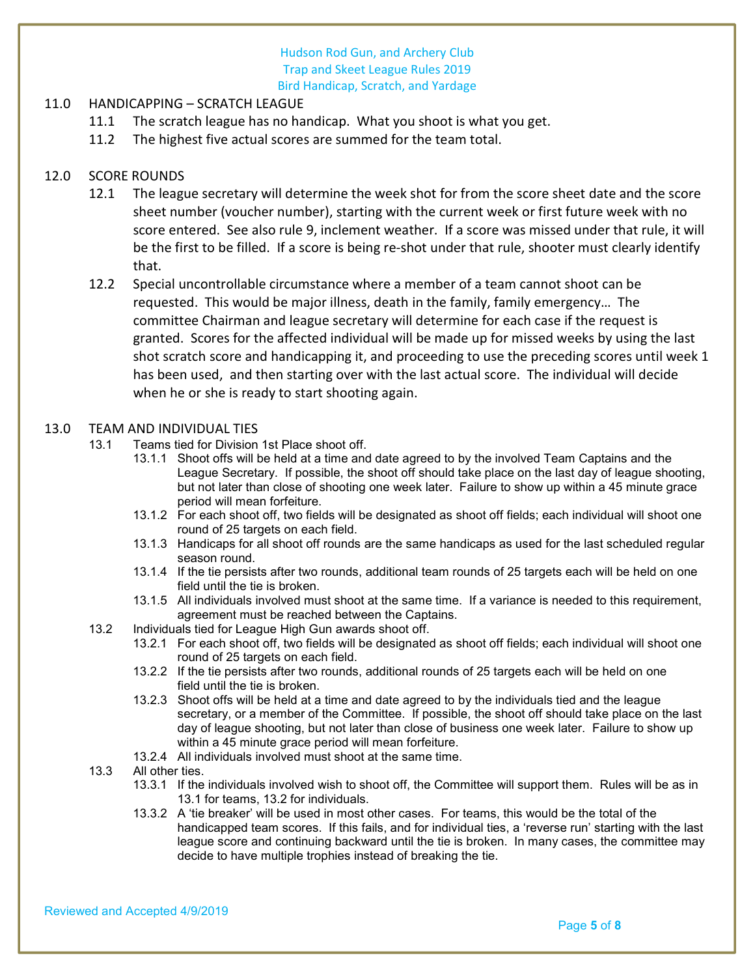# 11.0 HANDICAPPING – SCRATCH LEAGUE

- 11.1 The scratch league has no handicap. What you shoot is what you get.
- 11.2 The highest five actual scores are summed for the team total.

### 12.0 SCORE ROUNDS

- 12.1 The league secretary will determine the week shot for from the score sheet date and the score sheet number (voucher number), starting with the current week or first future week with no score entered. See also rule 9, inclement weather. If a score was missed under that rule, it will be the first to be filled. If a score is being re-shot under that rule, shooter must clearly identify that.
- 12.2 Special uncontrollable circumstance where a member of a team cannot shoot can be requested. This would be major illness, death in the family, family emergency… The committee Chairman and league secretary will determine for each case if the request is granted. Scores for the affected individual will be made up for missed weeks by using the last shot scratch score and handicapping it, and proceeding to use the preceding scores until week 1 has been used, and then starting over with the last actual score. The individual will decide when he or she is ready to start shooting again.

#### 13.0 TEAM AND INDIVIDUAL TIES

- 13.1 Teams tied for Division 1st Place shoot off.
	- 13.1.1 Shoot offs will be held at a time and date agreed to by the involved Team Captains and the League Secretary. If possible, the shoot off should take place on the last day of league shooting, but not later than close of shooting one week later. Failure to show up within a 45 minute grace period will mean forfeiture.
	- 13.1.2 For each shoot off, two fields will be designated as shoot off fields; each individual will shoot one round of 25 targets on each field.
	- 13.1.3 Handicaps for all shoot off rounds are the same handicaps as used for the last scheduled regular season round.
	- 13.1.4 If the tie persists after two rounds, additional team rounds of 25 targets each will be held on one field until the tie is broken.
	- 13.1.5 All individuals involved must shoot at the same time. If a variance is needed to this requirement, agreement must be reached between the Captains.
- 13.2 Individuals tied for League High Gun awards shoot off.
	- 13.2.1 For each shoot off, two fields will be designated as shoot off fields; each individual will shoot one round of 25 targets on each field.
	- 13.2.2 If the tie persists after two rounds, additional rounds of 25 targets each will be held on one field until the tie is broken.
	- 13.2.3 Shoot offs will be held at a time and date agreed to by the individuals tied and the league secretary, or a member of the Committee. If possible, the shoot off should take place on the last day of league shooting, but not later than close of business one week later. Failure to show up within a 45 minute grace period will mean forfeiture.
	- 13.2.4 All individuals involved must shoot at the same time.
- 13.3 All other ties.
	- 13.3.1 If the individuals involved wish to shoot off, the Committee will support them. Rules will be as in 13.1 for teams, 13.2 for individuals.
	- 13.3.2 A 'tie breaker' will be used in most other cases. For teams, this would be the total of the handicapped team scores. If this fails, and for individual ties, a 'reverse run' starting with the last league score and continuing backward until the tie is broken. In many cases, the committee may decide to have multiple trophies instead of breaking the tie.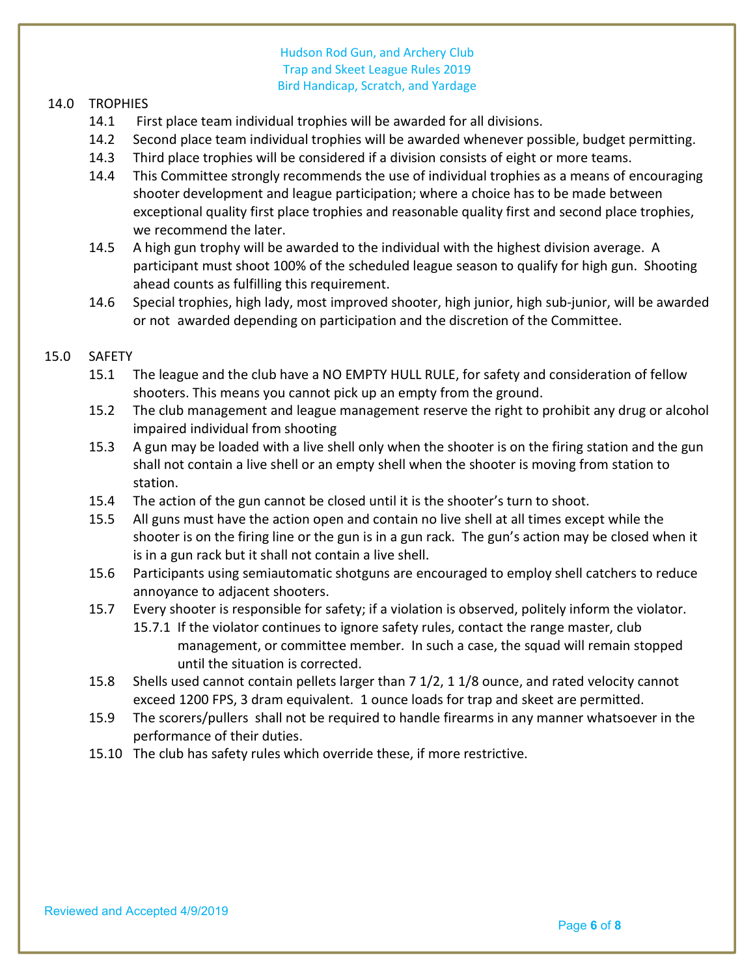#### 14.0 TROPHIES

- 14.1 First place team individual trophies will be awarded for all divisions.
- 14.2 Second place team individual trophies will be awarded whenever possible, budget permitting.
- 14.3 Third place trophies will be considered if a division consists of eight or more teams.
- 14.4 This Committee strongly recommends the use of individual trophies as a means of encouraging shooter development and league participation; where a choice has to be made between exceptional quality first place trophies and reasonable quality first and second place trophies, we recommend the later.
- 14.5 A high gun trophy will be awarded to the individual with the highest division average. A participant must shoot 100% of the scheduled league season to qualify for high gun. Shooting ahead counts as fulfilling this requirement.
- 14.6 Special trophies, high lady, most improved shooter, high junior, high sub-junior, will be awarded or not awarded depending on participation and the discretion of the Committee.

#### 15.0 SAFETY

- 15.1 The league and the club have a NO EMPTY HULL RULE, for safety and consideration of fellow shooters. This means you cannot pick up an empty from the ground.
- 15.2 The club management and league management reserve the right to prohibit any drug or alcohol impaired individual from shooting
- 15.3 A gun may be loaded with a live shell only when the shooter is on the firing station and the gun shall not contain a live shell or an empty shell when the shooter is moving from station to station.
- 15.4 The action of the gun cannot be closed until it is the shooter's turn to shoot.
- 15.5 All guns must have the action open and contain no live shell at all times except while the shooter is on the firing line or the gun is in a gun rack. The gun's action may be closed when it is in a gun rack but it shall not contain a live shell.
- 15.6 Participants using semiautomatic shotguns are encouraged to employ shell catchers to reduce annoyance to adjacent shooters.
- 15.7 Every shooter is responsible for safety; if a violation is observed, politely inform the violator. 15.7.1 If the violator continues to ignore safety rules, contact the range master, club management, or committee member. In such a case, the squad will remain stopped until the situation is corrected.
- 15.8 Shells used cannot contain pellets larger than 7 1/2, 1 1/8 ounce, and rated velocity cannot exceed 1200 FPS, 3 dram equivalent. 1 ounce loads for trap and skeet are permitted.
- 15.9 The scorers/pullers shall not be required to handle firearms in any manner whatsoever in the performance of their duties.
- 15.10 The club has safety rules which override these, if more restrictive.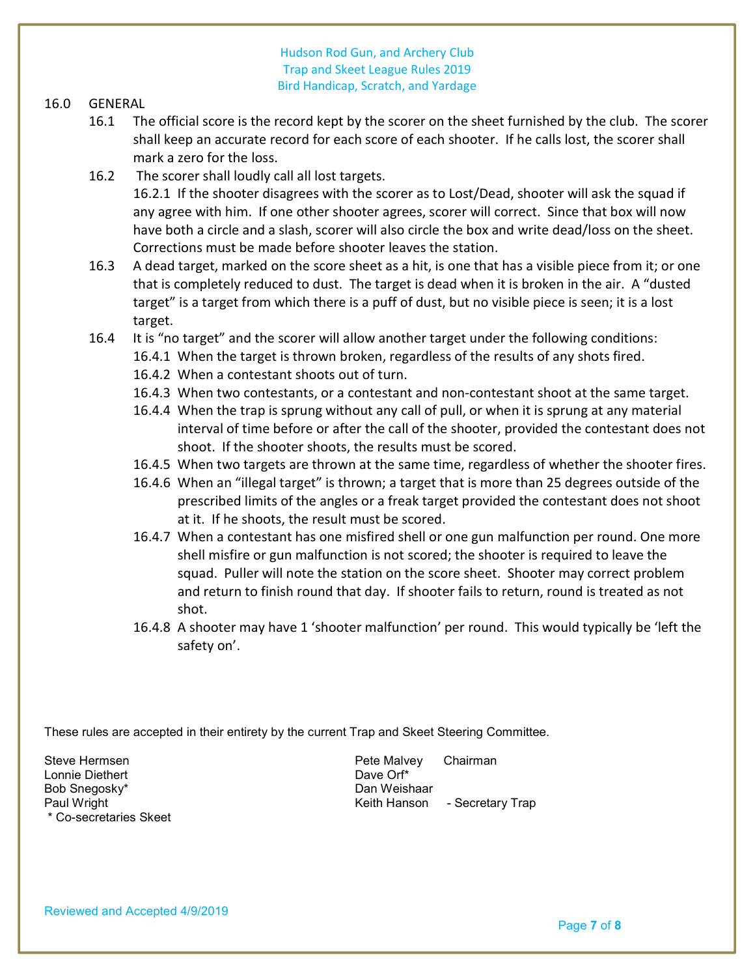#### 16.0 GENERAL

- 16.1 The official score is the record kept by the scorer on the sheet furnished by the club. The scorer shall keep an accurate record for each score of each shooter. If he calls lost, the scorer shall mark a zero for the loss.
- 16.2 The scorer shall loudly call all lost targets.

 16.2.1 If the shooter disagrees with the scorer as to Lost/Dead, shooter will ask the squad if any agree with him. If one other shooter agrees, scorer will correct. Since that box will now have both a circle and a slash, scorer will also circle the box and write dead/loss on the sheet. Corrections must be made before shooter leaves the station.

- 16.3 A dead target, marked on the score sheet as a hit, is one that has a visible piece from it; or one that is completely reduced to dust. The target is dead when it is broken in the air. A "dusted target" is a target from which there is a puff of dust, but no visible piece is seen; it is a lost target.
- 16.4 It is "no target" and the scorer will allow another target under the following conditions:
	- 16.4.1 When the target is thrown broken, regardless of the results of any shots fired.
	- 16.4.2 When a contestant shoots out of turn.
	- 16.4.3 When two contestants, or a contestant and non-contestant shoot at the same target.
	- 16.4.4 When the trap is sprung without any call of pull, or when it is sprung at any material interval of time before or after the call of the shooter, provided the contestant does not shoot. If the shooter shoots, the results must be scored.
	- 16.4.5 When two targets are thrown at the same time, regardless of whether the shooter fires.
	- 16.4.6 When an "illegal target" is thrown; a target that is more than 25 degrees outside of the prescribed limits of the angles or a freak target provided the contestant does not shoot at it. If he shoots, the result must be scored.
	- 16.4.7 When a contestant has one misfired shell or one gun malfunction per round. One more shell misfire or gun malfunction is not scored; the shooter is required to leave the squad. Puller will note the station on the score sheet. Shooter may correct problem and return to finish round that day. If shooter fails to return, round is treated as not shot.
	- 16.4.8 A shooter may have 1 'shooter malfunction' per round. This would typically be 'left the safety on'.

These rules are accepted in their entirety by the current Trap and Skeet Steering Committee.

Lonnie Diethert Dave Orf\* Bob Snegosky\* \* Co-secretaries Skeet

Steve Hermsen **Pete Malvey** Chairman Paul Wright **Keith Hanson** - Secretary Trap